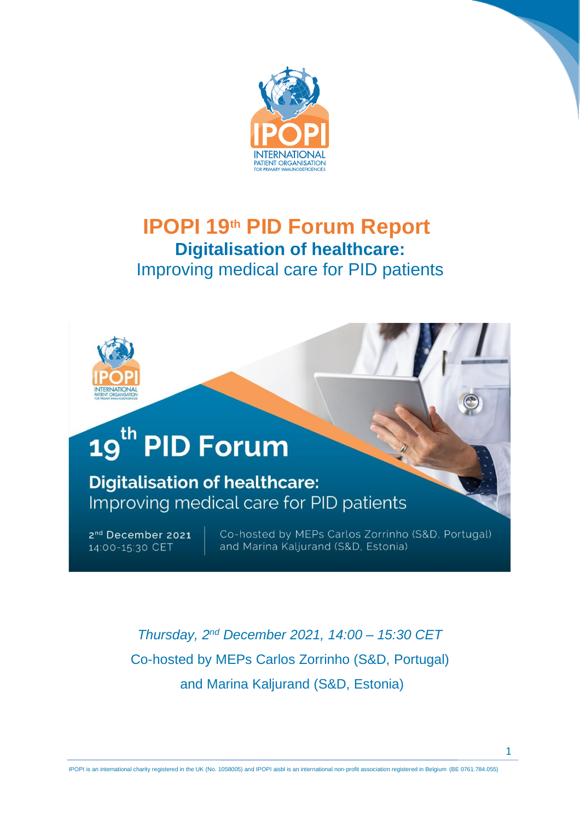



# 19<sup>th</sup> PID Forum

**Digitalisation of healthcare:** Improving medical care for PID patients

2<sup>nd</sup> December 2021 14:00-15:30 CET

Co-hosted by MEPs Carlos Zorrinho (S&D, Portugal) and Marina Kaljurand (S&D, Estonia)

*Thursday, 2 nd December 2021, 14:00 – 15:30 CET* Co-hosted by MEPs Carlos Zorrinho (S&D, Portugal) and Marina Kaljurand (S&D, Estonia)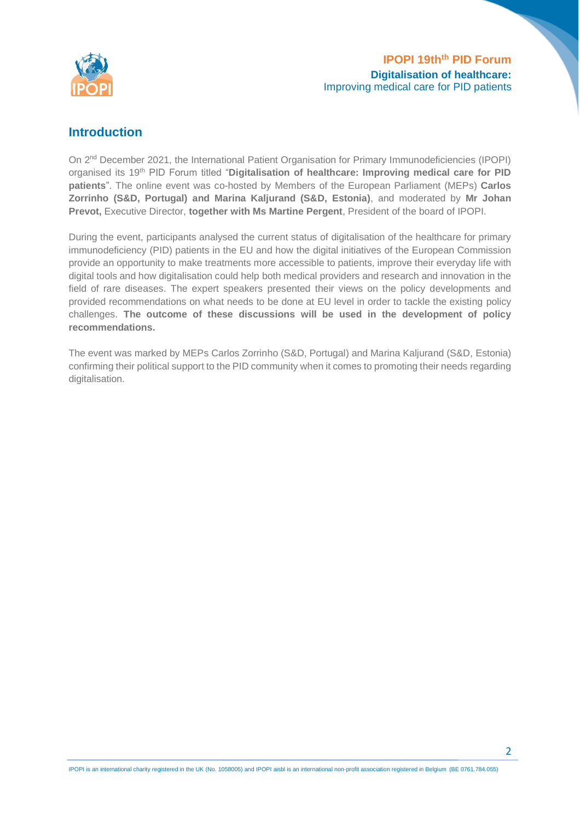

# **Introduction**

On 2<sup>nd</sup> December 2021, the International Patient Organisation for Primary Immunodeficiencies (IPOPI) organised its 19<sup>th</sup> PID Forum titled "Digitalisation of healthcare: Improving medical care for PID **patients**". The online event was co-hosted by Members of the European Parliament (MEPs) **Carlos Zorrinho (S&D, Portugal) and Marina Kaljurand (S&D, Estonia)**, and moderated by **Mr Johan Prevot,** Executive Director, **together with Ms Martine Pergent**, President of the board of IPOPI.

During the event, participants analysed the current status of digitalisation of the healthcare for primary immunodeficiency (PID) patients in the EU and how the digital initiatives of the European Commission provide an opportunity to make treatments more accessible to patients, improve their everyday life with digital tools and how digitalisation could help both medical providers and research and innovation in the field of rare diseases. The expert speakers presented their views on the policy developments and provided recommendations on what needs to be done at EU level in order to tackle the existing policy challenges. **The outcome of these discussions will be used in the development of policy recommendations.**

The event was marked by MEPs Carlos Zorrinho (S&D, Portugal) and Marina Kaljurand (S&D, Estonia) confirming their political support to the PID community when it comes to promoting their needs regarding digitalisation.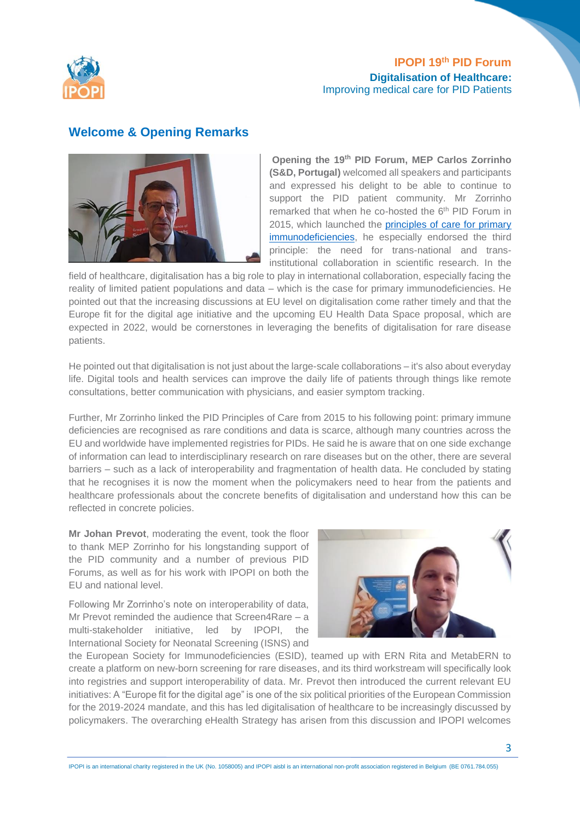

#### **Welcome & Opening Remarks**



**Opening the 19 th PID Forum, MEP Carlos Zorrinho (S&D, Portugal)** welcomed all speakers and participants and expressed his delight to be able to continue to support the PID patient community. Mr Zorrinho remarked that when he co-hosted the 6<sup>th</sup> PID Forum in 2015, which launched the principles of care for primary [immunodeficiencies,](https://ipopi.org/wp-content/uploads/2017/09/IPOPI-Principles-of-Care-Implementation-Package_web.pdf) he especially endorsed the third principle: the need for trans-national and transinstitutional collaboration in scientific research. In the

field of healthcare, digitalisation has a big role to play in international collaboration, especially facing the reality of limited patient populations and data – which is the case for primary immunodeficiencies. He pointed out that the increasing discussions at EU level on digitalisation come rather timely and that the Europe fit for the digital age initiative and the upcoming EU Health Data Space proposal, which are expected in 2022, would be cornerstones in leveraging the benefits of digitalisation for rare disease patients.

He pointed out that digitalisation is not just about the large-scale collaborations – it's also about everyday life. Digital tools and health services can improve the daily life of patients through things like remote consultations, better communication with physicians, and easier symptom tracking.

Further, Mr Zorrinho linked the PID Principles of Care from 2015 to his following point: primary immune deficiencies are recognised as rare conditions and data is scarce, although many countries across the EU and worldwide have implemented registries for PIDs. He said he is aware that on one side exchange of information can lead to interdisciplinary research on rare diseases but on the other, there are several barriers – such as a lack of interoperability and fragmentation of health data. He concluded by stating that he recognises it is now the moment when the policymakers need to hear from the patients and healthcare professionals about the concrete benefits of digitalisation and understand how this can be reflected in concrete policies.

**Mr Johan Prevot**, moderating the event, took the floor to thank MEP Zorrinho for his longstanding support of the PID community and a number of previous PID Forums, as well as for his work with IPOPI on both the EU and national level.

Following Mr Zorrinho's note on interoperability of data, Mr Prevot reminded the audience that Screen4Rare – a multi-stakeholder initiative, led by IPOPI, the International Society for Neonatal Screening (ISNS) and



the European Society for Immunodeficiencies (ESID), teamed up with ERN Rita and MetabERN to create a platform on new-born screening for rare diseases, and its third workstream will specifically look into registries and support interoperability of data. Mr. Prevot then introduced the current relevant EU initiatives: A "Europe fit for the digital age" is one of the six political priorities of the European Commission for the 2019-2024 mandate, and this has led digitalisation of healthcare to be increasingly discussed by policymakers. The overarching eHealth Strategy has arisen from this discussion and IPOPI welcomes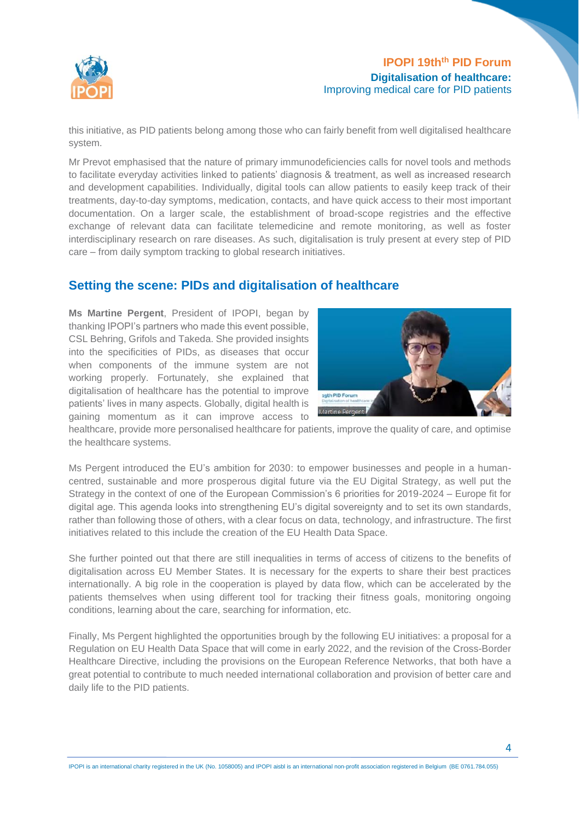

this initiative, as PID patients belong among those who can fairly benefit from well digitalised healthcare system.

Mr Prevot emphasised that the nature of primary immunodeficiencies calls for novel tools and methods to facilitate everyday activities linked to patients' diagnosis & treatment, as well as increased research and development capabilities. Individually, digital tools can allow patients to easily keep track of their treatments, day-to-day symptoms, medication, contacts, and have quick access to their most important documentation. On a larger scale, the establishment of broad-scope registries and the effective exchange of relevant data can facilitate telemedicine and remote monitoring, as well as foster interdisciplinary research on rare diseases. As such, digitalisation is truly present at every step of PID care – from daily symptom tracking to global research initiatives.

# **Setting the scene: PIDs and digitalisation of healthcare**

**Ms Martine Pergent**, President of IPOPI, began by thanking IPOPI's partners who made this event possible, CSL Behring, Grifols and Takeda. She provided insights into the specificities of PIDs, as diseases that occur when components of the immune system are not working properly. Fortunately, she explained that digitalisation of healthcare has the potential to improve patients' lives in many aspects. Globally, digital health is gaining momentum as it can improve access to



healthcare, provide more personalised healthcare for patients, improve the quality of care, and optimise the healthcare systems.

Ms Pergent introduced the EU's ambition for 2030: to empower businesses and people in a humancentred, sustainable and more prosperous digital future via the EU Digital Strategy, as well put the Strategy in the context of one of the European Commission's 6 priorities for 2019-2024 – Europe fit for digital age. This agenda looks into strengthening EU's digital sovereignty and to set its own standards, rather than following those of others, with a clear focus on data, technology, and infrastructure. The first initiatives related to this include the creation of the EU Health Data Space.

She further pointed out that there are still inequalities in terms of access of citizens to the benefits of digitalisation across EU Member States. It is necessary for the experts to share their best practices internationally. A big role in the cooperation is played by data flow, which can be accelerated by the patients themselves when using different tool for tracking their fitness goals, monitoring ongoing conditions, learning about the care, searching for information, etc.

Finally, Ms Pergent highlighted the opportunities brough by the following EU initiatives: a proposal for a Regulation on EU Health Data Space that will come in early 2022, and the revision of the Cross-Border Healthcare Directive, including the provisions on the European Reference Networks, that both have a great potential to contribute to much needed international collaboration and provision of better care and daily life to the PID patients.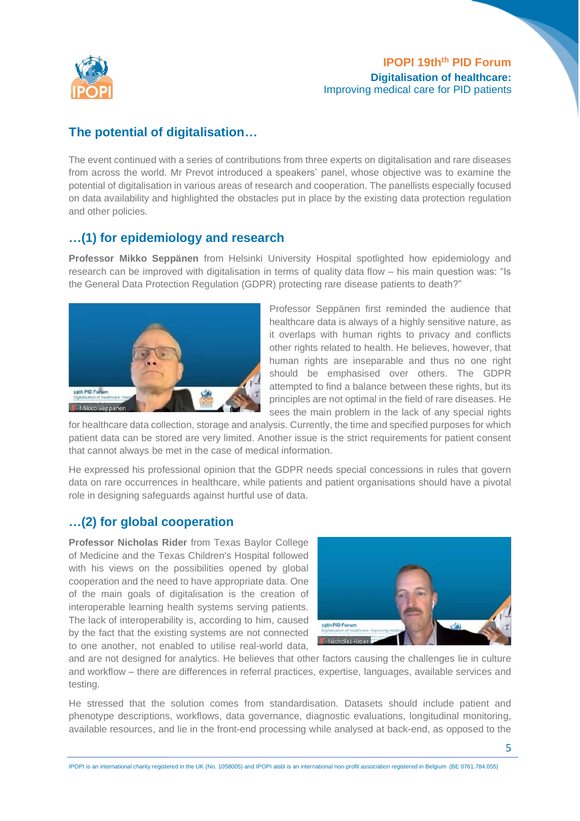

# **The potential of digitalisation…**

The event continued with a series of contributions from three experts on digitalisation and rare diseases from across the world. Mr Prevot introduced a speakers' panel, whose objective was to examine the potential of digitalisation in various areas of research and cooperation. The panellists especially focused on data availability and highlighted the obstacles put in place by the existing data protection regulation and other policies.

# **…(1) for epidemiology and research**

**Professor Mikko Seppänen** from Helsinki University Hospital spotlighted how epidemiology and research can be improved with digitalisation in terms of quality data flow – his main question was: "Is the General Data Protection Regulation (GDPR) protecting rare disease patients to death?"



Professor Seppänen first reminded the audience that healthcare data is always of a highly sensitive nature, as it overlaps with human rights to privacy and conflicts other rights related to health. He believes, however, that human rights are inseparable and thus no one right should be emphasised over others. The GDPR attempted to find a balance between these rights, but its principles are not optimal in the field of rare diseases. He sees the main problem in the lack of any special rights

for healthcare data collection, storage and analysis. Currently, the time and specified purposes for which patient data can be stored are very limited. Another issue is the strict requirements for patient consent that cannot always be met in the case of medical information.

He expressed his professional opinion that the GDPR needs special concessions in rules that govern data on rare occurrences in healthcare, while patients and patient organisations should have a pivotal role in designing safeguards against hurtful use of data.

# **…(2) for global cooperation**

**Professor Nicholas Rider** from Texas Baylor College of Medicine and the Texas Children's Hospital followed with his views on the possibilities opened by global cooperation and the need to have appropriate data. One of the main goals of digitalisation is the creation of interoperable learning health systems serving patients. The lack of interoperability is, according to him, caused by the fact that the existing systems are not connected to one another, not enabled to utilise real-world data,



and are not designed for analytics. He believes that other factors causing the challenges lie in culture and workflow – there are differences in referral practices, expertise, languages, available services and testing.

He stressed that the solution comes from standardisation. Datasets should include patient and phenotype descriptions, workflows, data governance, diagnostic evaluations, longitudinal monitoring, available resources, and lie in the front-end processing while analysed at back-end, as opposed to the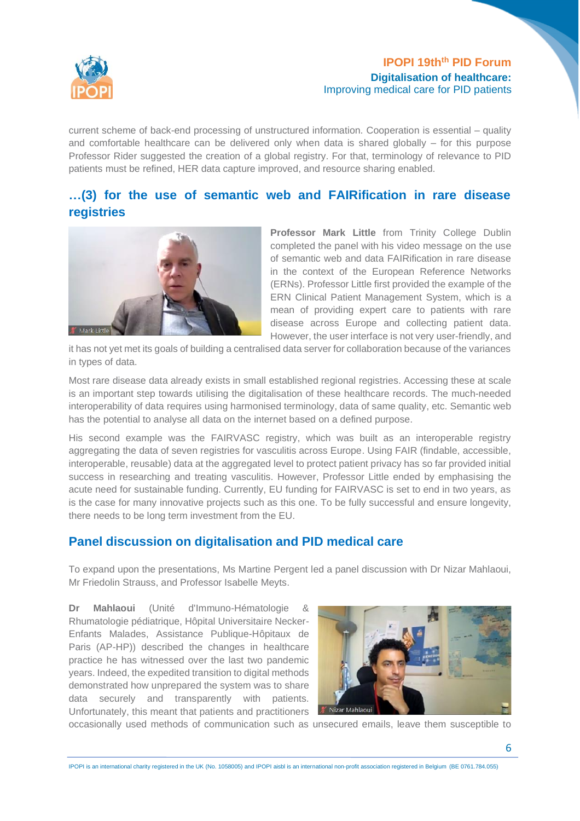

current scheme of back-end processing of unstructured information. Cooperation is essential – quality and comfortable healthcare can be delivered only when data is shared globally – for this purpose Professor Rider suggested the creation of a global registry. For that, terminology of relevance to PID patients must be refined, HER data capture improved, and resource sharing enabled.

# **…(3) for the use of semantic web and FAIRification in rare disease registries**



**Professor Mark Little** from Trinity College Dublin completed the panel with his video message on the use of semantic web and data FAIRification in rare disease in the context of the European Reference Networks (ERNs). Professor Little first provided the example of the ERN Clinical Patient Management System, which is a mean of providing expert care to patients with rare disease across Europe and collecting patient data. However, the user interface is not very user-friendly, and

it has not yet met its goals of building a centralised data server for collaboration because of the variances in types of data.

Most rare disease data already exists in small established regional registries. Accessing these at scale is an important step towards utilising the digitalisation of these healthcare records. The much-needed interoperability of data requires using harmonised terminology, data of same quality, etc. Semantic web has the potential to analyse all data on the internet based on a defined purpose.

His second example was the FAIRVASC registry, which was built as an interoperable registry aggregating the data of seven registries for vasculitis across Europe. Using FAIR (findable, accessible, interoperable, reusable) data at the aggregated level to protect patient privacy has so far provided initial success in researching and treating vasculitis. However, Professor Little ended by emphasising the acute need for sustainable funding. Currently, EU funding for FAIRVASC is set to end in two years, as is the case for many innovative projects such as this one. To be fully successful and ensure longevity, there needs to be long term investment from the EU.

# **Panel discussion on digitalisation and PID medical care**

To expand upon the presentations, Ms Martine Pergent led a panel discussion with Dr Nizar Mahlaoui, Mr Friedolin Strauss, and Professor Isabelle Meyts.

**Dr Mahlaoui** (Unité d'Immuno-Hématologie & Rhumatologie pédiatrique, Hôpital Universitaire Necker-Enfants Malades, Assistance Publique-Hôpitaux de Paris (AP-HP)) described the changes in healthcare practice he has witnessed over the last two pandemic years. Indeed, the expedited transition to digital methods demonstrated how unprepared the system was to share data securely and transparently with patients. Unfortunately, this meant that patients and practitioners



occasionally used methods of communication such as unsecured emails, leave them susceptible to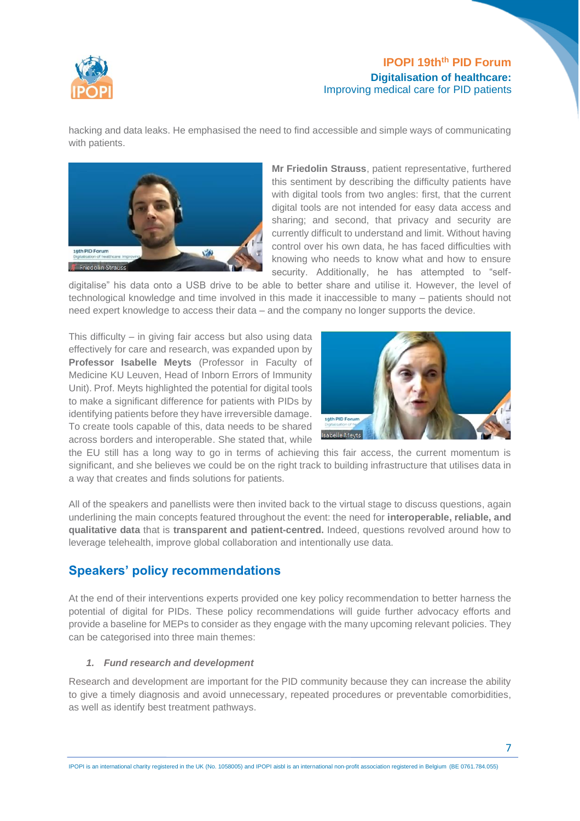

hacking and data leaks. He emphasised the need to find accessible and simple ways of communicating with patients.



**Mr Friedolin Strauss**, patient representative, furthered this sentiment by describing the difficulty patients have with digital tools from two angles: first, that the current digital tools are not intended for easy data access and sharing; and second, that privacy and security are currently difficult to understand and limit. Without having control over his own data, he has faced difficulties with knowing who needs to know what and how to ensure security. Additionally, he has attempted to "self-

digitalise" his data onto a USB drive to be able to better share and utilise it. However, the level of technological knowledge and time involved in this made it inaccessible to many – patients should not need expert knowledge to access their data – and the company no longer supports the device.

This difficulty – in giving fair access but also using data effectively for care and research, was expanded upon by **Professor Isabelle Meyts** (Professor in Faculty of Medicine KU Leuven, Head of Inborn Errors of Immunity Unit). Prof. Meyts highlighted the potential for digital tools to make a significant difference for patients with PIDs by identifying patients before they have irreversible damage. To create tools capable of this, data needs to be shared across borders and interoperable. She stated that, while



the EU still has a long way to go in terms of achieving this fair access, the current momentum is significant, and she believes we could be on the right track to building infrastructure that utilises data in a way that creates and finds solutions for patients.

All of the speakers and panellists were then invited back to the virtual stage to discuss questions, again underlining the main concepts featured throughout the event: the need for **interoperable, reliable, and qualitative data** that is **transparent and patient-centred.** Indeed, questions revolved around how to leverage telehealth, improve global collaboration and intentionally use data.

# **Speakers' policy recommendations**

At the end of their interventions experts provided one key policy recommendation to better harness the potential of digital for PIDs. These policy recommendations will guide further advocacy efforts and provide a baseline for MEPs to consider as they engage with the many upcoming relevant policies. They can be categorised into three main themes:

#### *1. Fund research and development*

Research and development are important for the PID community because they can increase the ability to give a timely diagnosis and avoid unnecessary, repeated procedures or preventable comorbidities, as well as identify best treatment pathways.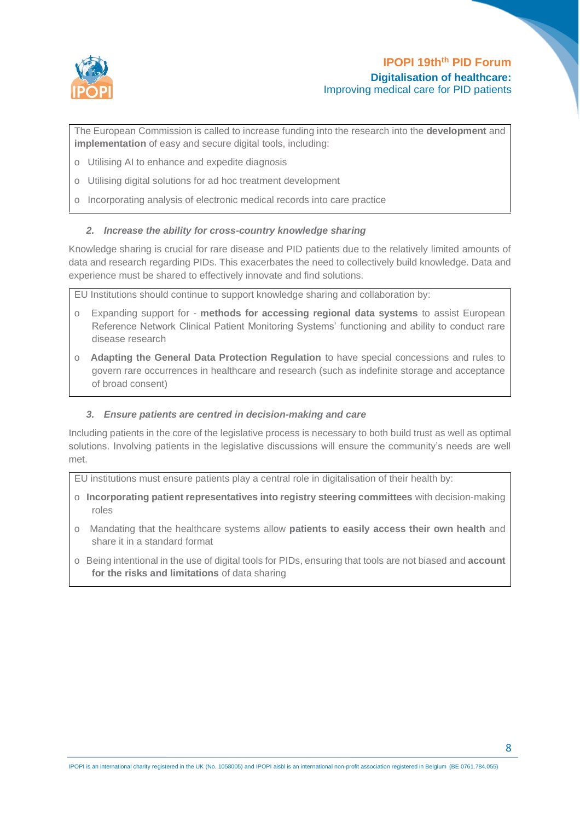

The European Commission is called to increase funding into the research into the **development** and **implementation** of easy and secure digital tools, including:

- o Utilising AI to enhance and expedite diagnosis
- o Utilising digital solutions for ad hoc treatment development
- o Incorporating analysis of electronic medical records into care practice

#### *2. Increase the ability for cross-country knowledge sharing*

Knowledge sharing is crucial for rare disease and PID patients due to the relatively limited amounts of data and research regarding PIDs. This exacerbates the need to collectively build knowledge. Data and experience must be shared to effectively innovate and find solutions.

EU Institutions should continue to support knowledge sharing and collaboration by:

- o Expanding support for **methods for accessing regional data systems** to assist European Reference Network Clinical Patient Monitoring Systems' functioning and ability to conduct rare disease research
- o **Adapting the General Data Protection Regulation** to have special concessions and rules to govern rare occurrences in healthcare and research (such as indefinite storage and acceptance of broad consent)

#### *3. Ensure patients are centred in decision-making and care*

Including patients in the core of the legislative process is necessary to both build trust as well as optimal solutions. Involving patients in the legislative discussions will ensure the community's needs are well met.

EU institutions must ensure patients play a central role in digitalisation of their health by:

- o **Incorporating patient representatives into registry steering committees** with decision-making roles
- o Mandating that the healthcare systems allow **patients to easily access their own health** and share it in a standard format
- o Being intentional in the use of digital tools for PIDs, ensuring that tools are not biased and **account for the risks and limitations** of data sharing